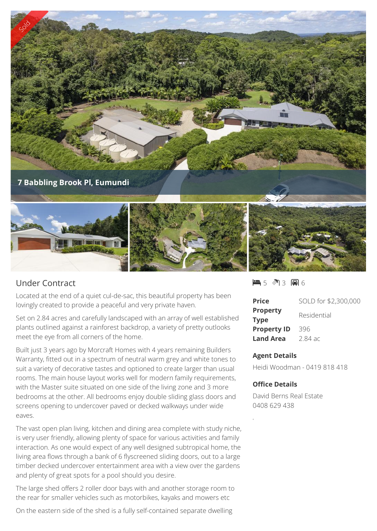

## Under Contract

Located at the end of a quiet cul-de-sac, this beautiful property has been lovingly created to provide a peaceful and very private haven.

Set on 2.84 acres and carefully landscaped with an array of well established plants outlined against a rainforest backdrop, a variety of pretty outlooks meet the eye from all corners of the home.

Built just 3 years ago by Morcraft Homes with 4 years remaining Builders Warranty, fitted out in a spectrum of neutral warm grey and white tones to suit a variety of decorative tastes and optioned to create larger than usual rooms. The main house layout works well for modern family requirements, with the Master suite situated on one side of the living zone and 3 more bedrooms at the other. All bedrooms enjoy double sliding glass doors and screens opening to undercover paved or decked walkways under wide eaves.

The vast open plan living, kitchen and dining area complete with study niche, is very user friendly, allowing plenty of space for various activities and family interaction. As one would expect of any well designed subtropical home, the living area flows through a bank of 6 flyscreened sliding doors, out to a large timber decked undercover entertainment area with a view over the gardens and plenty of great spots for a pool should you desire.

The large shed offers 2 roller door bays with and another storage room to the rear for smaller vehicles such as motorbikes, kayaks and mowers etc

On the eastern side of the shed is a fully self-contained separate dwelling

 $-5$   $-3$   $-3$   $-6$ 

| <b>Price</b>                   | SOLD for \$2,300,000 |
|--------------------------------|----------------------|
| <b>Property</b><br><b>Type</b> | Residential          |
| <b>Property ID</b>             | 396                  |
| <b>Land Area</b>               | 2.84 ac              |

## **Agent Details**

Heidi Woodman - 0419 818 418

## **Office Details**

David Berns Real Estate 0408 629 438